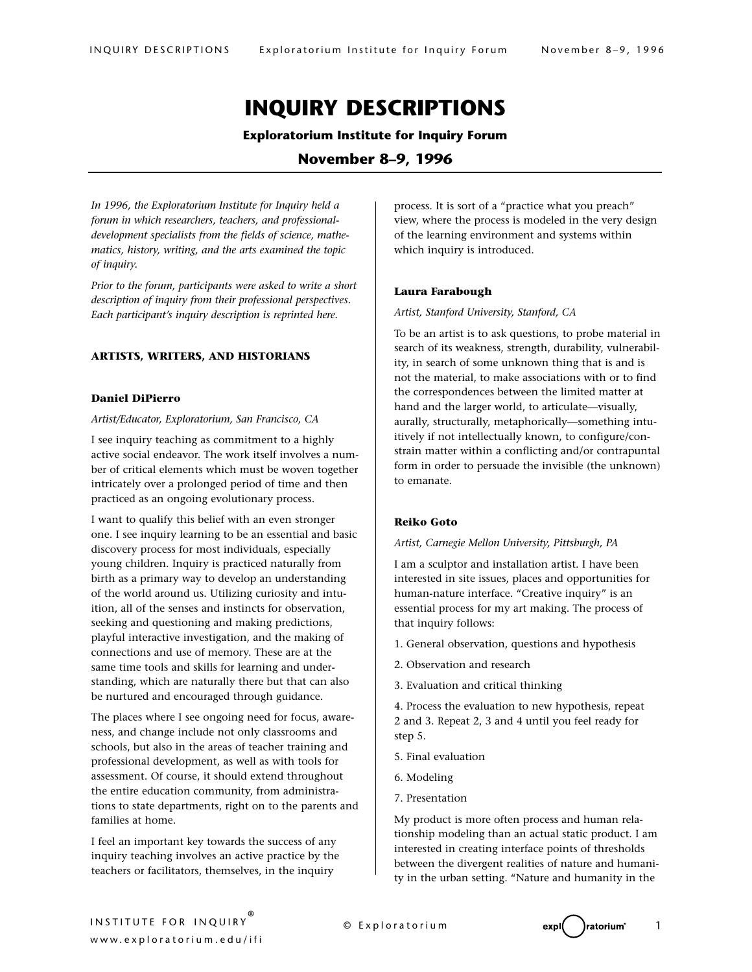# **INQUIRY DESCRIPTIONS**

## **Exploratorium Institute for Inquiry Forum**

# **November 8–9, 1996**

*In 1996, the Exploratorium Institute for Inquiry held a forum in which researchers, teachers, and professionaldevelopment specialists from the fields of science, mathematics, history, writing, and the arts examined the topic of inquiry.* 

*Prior to the forum, participants were asked to write a short description of inquiry from their professional perspectives. Each participant's inquiry description is reprinted here.* 

## **ARTISTS, WRITERS, AND HISTORIANS**

## **Daniel DiPierro**

*Artist/Educator, Exploratorium, San Francisco, CA*

I see inquiry teaching as commitment to a highly active social endeavor. The work itself involves a number of critical elements which must be woven together intricately over a prolonged period of time and then practiced as an ongoing evolutionary process.

I want to qualify this belief with an even stronger one. I see inquiry learning to be an essential and basic discovery process for most individuals, especially young children. Inquiry is practiced naturally from birth as a primary way to develop an understanding of the world around us. Utilizing curiosity and intuition, all of the senses and instincts for observation, seeking and questioning and making predictions, playful interactive investigation, and the making of connections and use of memory. These are at the same time tools and skills for learning and understanding, which are naturally there but that can also be nurtured and encouraged through guidance.

The places where I see ongoing need for focus, awareness, and change include not only classrooms and schools, but also in the areas of teacher training and professional development, as well as with tools for assessment. Of course, it should extend throughout the entire education community, from administrations to state departments, right on to the parents and families at home.

I feel an important key towards the success of any inquiry teaching involves an active practice by the teachers or facilitators, themselves, in the inquiry

process. It is sort of a "practice what you preach" view, where the process is modeled in the very design of the learning environment and systems within which inquiry is introduced.

#### **Laura Farabough**

*Artist, Stanford University, Stanford, CA*

To be an artist is to ask questions, to probe material in search of its weakness, strength, durability, vulnerability, in search of some unknown thing that is and is not the material, to make associations with or to find the correspondences between the limited matter at hand and the larger world, to articulate—visually, aurally, structurally, metaphorically—something intuitively if not intellectually known, to configure/constrain matter within a conflicting and/or contrapuntal form in order to persuade the invisible (the unknown) to emanate.

## **Reiko Goto**

#### *Artist, Carnegie Mellon University, Pittsburgh, PA*

I am a sculptor and installation artist. I have been interested in site issues, places and opportunities for human-nature interface. "Creative inquiry" is an essential process for my art making. The process of that inquiry follows:

- 1. General observation, questions and hypothesis
- 2. Observation and research
- 3. Evaluation and critical thinking

4. Process the evaluation to new hypothesis, repeat 2 and 3. Repeat 2, 3 and 4 until you feel ready for step 5.

- 5. Final evaluation
- 6. Modeling
- 7. Presentation

My product is more often process and human relationship modeling than an actual static product. I am interested in creating interface points of thresholds between the divergent realities of nature and humanity in the urban setting. "Nature and humanity in the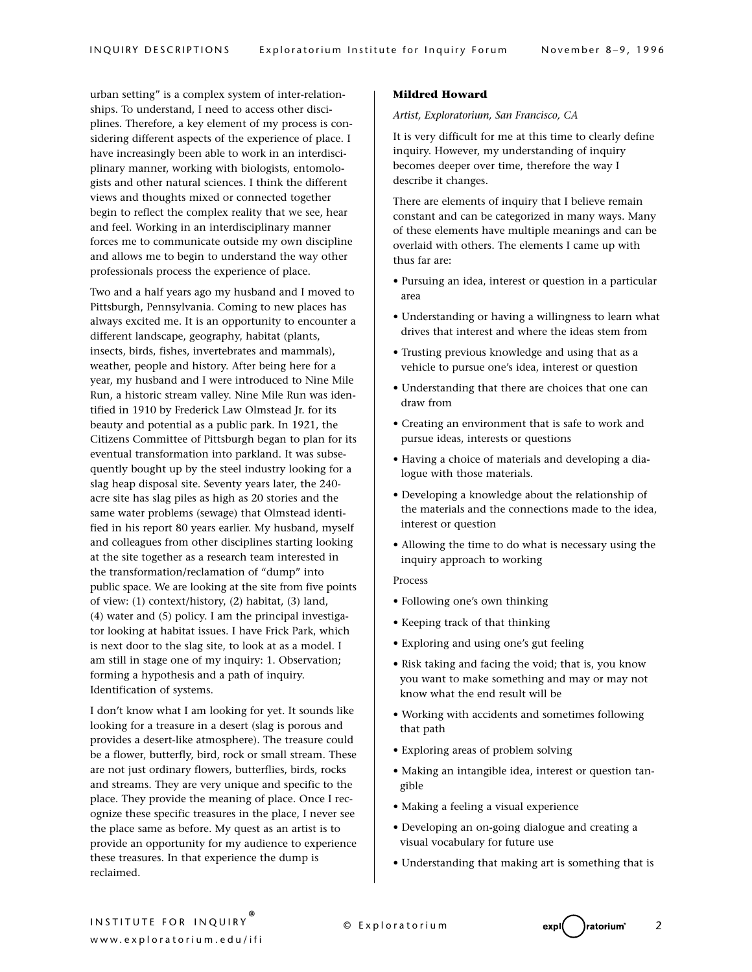urban setting" is a complex system of inter-relationships. To understand, I need to access other disciplines. Therefore, a key element of my process is considering different aspects of the experience of place. I have increasingly been able to work in an interdisciplinary manner, working with biologists, entomologists and other natural sciences. I think the different views and thoughts mixed or connected together begin to reflect the complex reality that we see, hear and feel. Working in an interdisciplinary manner forces me to communicate outside my own discipline and allows me to begin to understand the way other professionals process the experience of place.

Two and a half years ago my husband and I moved to Pittsburgh, Pennsylvania. Coming to new places has always excited me. It is an opportunity to encounter a different landscape, geography, habitat (plants, insects, birds, fishes, invertebrates and mammals), weather, people and history. After being here for a year, my husband and I were introduced to Nine Mile Run, a historic stream valley. Nine Mile Run was identified in 1910 by Frederick Law Olmstead Jr. for its beauty and potential as a public park. In 1921, the Citizens Committee of Pittsburgh began to plan for its eventual transformation into parkland. It was subsequently bought up by the steel industry looking for a slag heap disposal site. Seventy years later, the 240 acre site has slag piles as high as 20 stories and the same water problems (sewage) that Olmstead identified in his report 80 years earlier. My husband, myself and colleagues from other disciplines starting looking at the site together as a research team interested in the transformation/reclamation of "dump" into public space. We are looking at the site from five points of view: (1) context/history, (2) habitat, (3) land, (4) water and (5) policy. I am the principal investigator looking at habitat issues. I have Frick Park, which is next door to the slag site, to look at as a model. I am still in stage one of my inquiry: 1. Observation; forming a hypothesis and a path of inquiry. Identification of systems.

I don't know what I am looking for yet. It sounds like looking for a treasure in a desert (slag is porous and provides a desert-like atmosphere). The treasure could be a flower, butterfly, bird, rock or small stream. These are not just ordinary flowers, butterflies, birds, rocks and streams. They are very unique and specific to the place. They provide the meaning of place. Once I recognize these specific treasures in the place, I never see the place same as before. My quest as an artist is to provide an opportunity for my audience to experience these treasures. In that experience the dump is reclaimed.

#### **Mildred Howard**

*Artist, Exploratorium, San Francisco, CA*

It is very difficult for me at this time to clearly define inquiry. However, my understanding of inquiry becomes deeper over time, therefore the way I describe it changes.

There are elements of inquiry that I believe remain constant and can be categorized in many ways. Many of these elements have multiple meanings and can be overlaid with others. The elements I came up with thus far are:

- Pursuing an idea, interest or question in a particular area
- Understanding or having a willingness to learn what drives that interest and where the ideas stem from
- Trusting previous knowledge and using that as a vehicle to pursue one's idea, interest or question
- Understanding that there are choices that one can draw from
- Creating an environment that is safe to work and pursue ideas, interests or questions
- Having a choice of materials and developing a dialogue with those materials.
- Developing a knowledge about the relationship of the materials and the connections made to the idea, interest or question
- Allowing the time to do what is necessary using the inquiry approach to working

## Process

- Following one's own thinking
- Keeping track of that thinking
- Exploring and using one's gut feeling
- Risk taking and facing the void; that is, you know you want to make something and may or may not know what the end result will be
- Working with accidents and sometimes following that path
- Exploring areas of problem solving
- Making an intangible idea, interest or question tangible
- Making a feeling a visual experience
- Developing an on-going dialogue and creating a visual vocabulary for future use
- Understanding that making art is something that is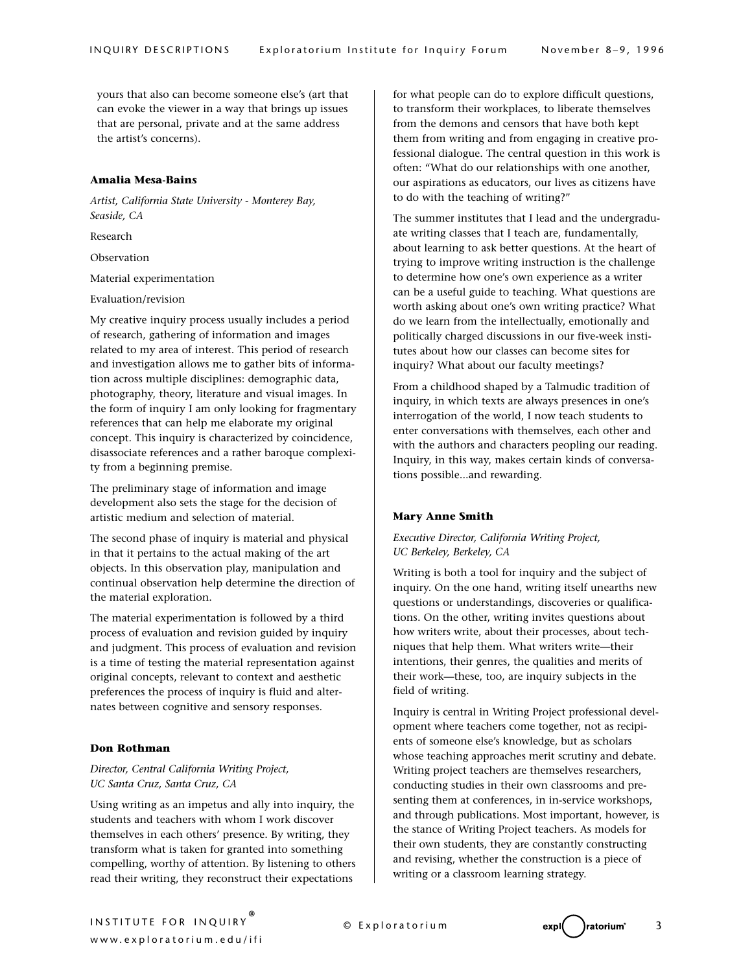yours that also can become someone else's (art that can evoke the viewer in a way that brings up issues that are personal, private and at the same address the artist's concerns).

#### **Amalia Mesa-Bains**

*Artist, California State University - Monterey Bay, Seaside, CA*

Research

Observation

Material experimentation

Evaluation/revision

My creative inquiry process usually includes a period of research, gathering of information and images related to my area of interest. This period of research and investigation allows me to gather bits of information across multiple disciplines: demographic data, photography, theory, literature and visual images. In the form of inquiry I am only looking for fragmentary references that can help me elaborate my original concept. This inquiry is characterized by coincidence, disassociate references and a rather baroque complexity from a beginning premise.

The preliminary stage of information and image development also sets the stage for the decision of artistic medium and selection of material.

The second phase of inquiry is material and physical in that it pertains to the actual making of the art objects. In this observation play, manipulation and continual observation help determine the direction of the material exploration.

The material experimentation is followed by a third process of evaluation and revision guided by inquiry and judgment. This process of evaluation and revision is a time of testing the material representation against original concepts, relevant to context and aesthetic preferences the process of inquiry is fluid and alternates between cognitive and sensory responses.

## **Don Rothman**

## *Director, Central California Writing Project, UC Santa Cruz, Santa Cruz, CA*

Using writing as an impetus and ally into inquiry, the students and teachers with whom I work discover themselves in each others' presence. By writing, they transform what is taken for granted into something compelling, worthy of attention. By listening to others read their writing, they reconstruct their expectations

for what people can do to explore difficult questions, to transform their workplaces, to liberate themselves from the demons and censors that have both kept them from writing and from engaging in creative professional dialogue. The central question in this work is often: "What do our relationships with one another, our aspirations as educators, our lives as citizens have to do with the teaching of writing?"

The summer institutes that I lead and the undergraduate writing classes that I teach are, fundamentally, about learning to ask better questions. At the heart of trying to improve writing instruction is the challenge to determine how one's own experience as a writer can be a useful guide to teaching. What questions are worth asking about one's own writing practice? What do we learn from the intellectually, emotionally and politically charged discussions in our five-week institutes about how our classes can become sites for inquiry? What about our faculty meetings?

From a childhood shaped by a Talmudic tradition of inquiry, in which texts are always presences in one's interrogation of the world, I now teach students to enter conversations with themselves, each other and with the authors and characters peopling our reading. Inquiry, in this way, makes certain kinds of conversations possible...and rewarding.

#### **Mary Anne Smith**

## *Executive Director, California Writing Project, UC Berkeley, Berkeley, CA*

Writing is both a tool for inquiry and the subject of inquiry. On the one hand, writing itself unearths new questions or understandings, discoveries or qualifications. On the other, writing invites questions about how writers write, about their processes, about techniques that help them. What writers write—their intentions, their genres, the qualities and merits of their work—these, too, are inquiry subjects in the field of writing.

Inquiry is central in Writing Project professional development where teachers come together, not as recipients of someone else's knowledge, but as scholars whose teaching approaches merit scrutiny and debate. Writing project teachers are themselves researchers, conducting studies in their own classrooms and presenting them at conferences, in in-service workshops, and through publications. Most important, however, is the stance of Writing Project teachers. As models for their own students, they are constantly constructing and revising, whether the construction is a piece of writing or a classroom learning strategy.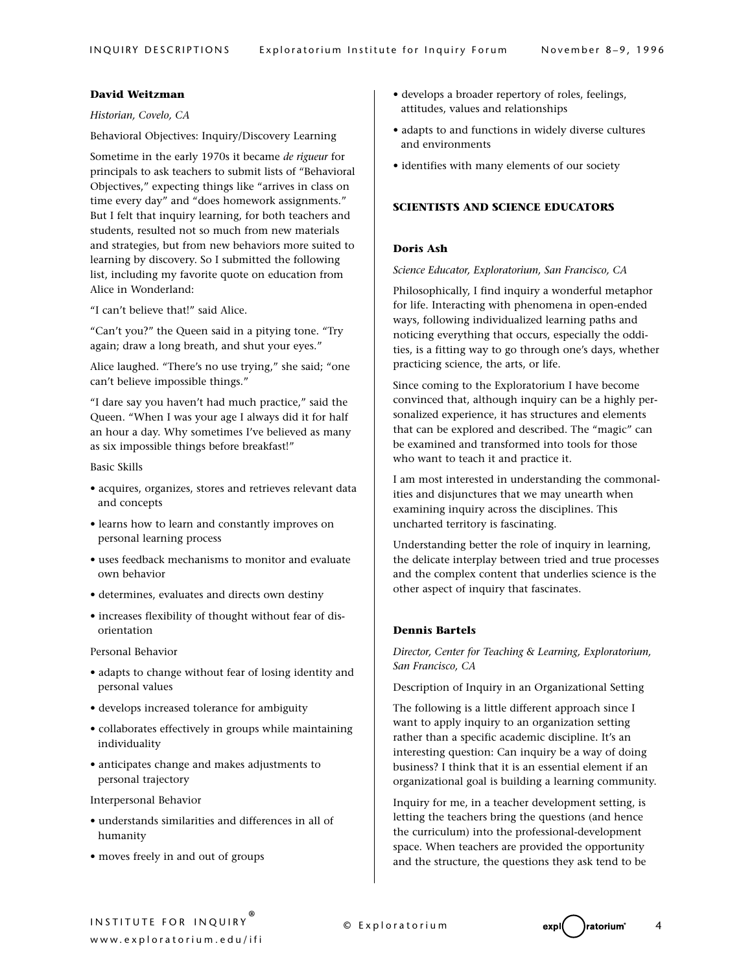## **David Weitzman**

## *Historian, Covelo, CA*

## Behavioral Objectives: Inquiry/Discovery Learning

Sometime in the early 1970s it became *de rigueur* for principals to ask teachers to submit lists of "Behavioral Objectives," expecting things like "arrives in class on time every day" and "does homework assignments." But I felt that inquiry learning, for both teachers and students, resulted not so much from new materials and strategies, but from new behaviors more suited to learning by discovery. So I submitted the following list, including my favorite quote on education from Alice in Wonderland:

"I can't believe that!" said Alice.

"Can't you?" the Queen said in a pitying tone. "Try again; draw a long breath, and shut your eyes."

Alice laughed. "There's no use trying," she said; "one can't believe impossible things."

"I dare say you haven't had much practice," said the Queen. "When I was your age I always did it for half an hour a day. Why sometimes I've believed as many as six impossible things before breakfast!"

Basic Skills

- acquires, organizes, stores and retrieves relevant data and concepts
- learns how to learn and constantly improves on personal learning process
- uses feedback mechanisms to monitor and evaluate own behavior
- determines, evaluates and directs own destiny
- increases flexibility of thought without fear of disorientation

Personal Behavior

- adapts to change without fear of losing identity and personal values
- develops increased tolerance for ambiguity
- collaborates effectively in groups while maintaining individuality
- anticipates change and makes adjustments to personal trajectory

Interpersonal Behavior

- understands similarities and differences in all of humanity
- moves freely in and out of groups
- develops a broader repertory of roles, feelings, attitudes, values and relationships
- adapts to and functions in widely diverse cultures and environments
- identifies with many elements of our society

## **SCIENTISTS AND SCIENCE EDUCATORS**

## **Doris Ash**

*Science Educator, Exploratorium, San Francisco, CA*

Philosophically, I find inquiry a wonderful metaphor for life. Interacting with phenomena in open-ended ways, following individualized learning paths and noticing everything that occurs, especially the oddities, is a fitting way to go through one's days, whether practicing science, the arts, or life.

Since coming to the Exploratorium I have become convinced that, although inquiry can be a highly personalized experience, it has structures and elements that can be explored and described. The "magic" can be examined and transformed into tools for those who want to teach it and practice it.

I am most interested in understanding the commonalities and disjunctures that we may unearth when examining inquiry across the disciplines. This uncharted territory is fascinating.

Understanding better the role of inquiry in learning, the delicate interplay between tried and true processes and the complex content that underlies science is the other aspect of inquiry that fascinates.

## **Dennis Bartels**

*Director, Center for Teaching & Learning, Exploratorium, San Francisco, CA*

Description of Inquiry in an Organizational Setting

The following is a little different approach since I want to apply inquiry to an organization setting rather than a specific academic discipline. It's an interesting question: Can inquiry be a way of doing business? I think that it is an essential element if an organizational goal is building a learning community.

Inquiry for me, in a teacher development setting, is letting the teachers bring the questions (and hence the curriculum) into the professional-development space. When teachers are provided the opportunity and the structure, the questions they ask tend to be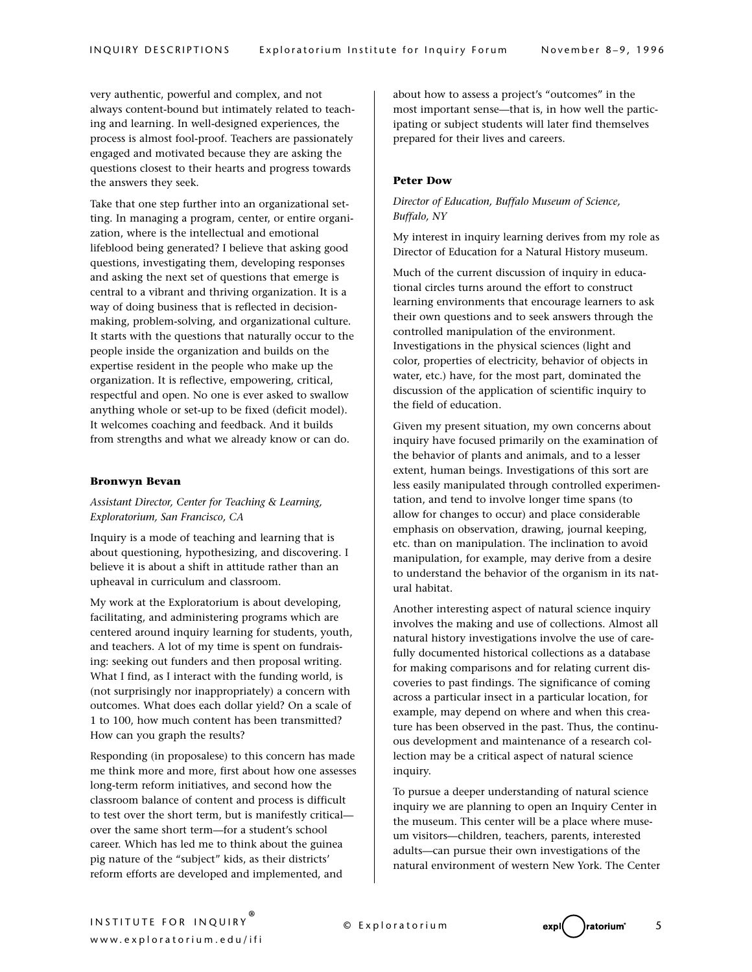very authentic, powerful and complex, and not always content-bound but intimately related to teaching and learning. In well-designed experiences, the process is almost fool-proof. Teachers are passionately engaged and motivated because they are asking the questions closest to their hearts and progress towards the answers they seek.

Take that one step further into an organizational setting. In managing a program, center, or entire organization, where is the intellectual and emotional lifeblood being generated? I believe that asking good questions, investigating them, developing responses and asking the next set of questions that emerge is central to a vibrant and thriving organization. It is a way of doing business that is reflected in decisionmaking, problem-solving, and organizational culture. It starts with the questions that naturally occur to the people inside the organization and builds on the expertise resident in the people who make up the organization. It is reflective, empowering, critical, respectful and open. No one is ever asked to swallow anything whole or set-up to be fixed (deficit model). It welcomes coaching and feedback. And it builds from strengths and what we already know or can do.

#### **Bronwyn Bevan**

## *Assistant Director, Center for Teaching & Learning, Exploratorium, San Francisco, CA*

Inquiry is a mode of teaching and learning that is about questioning, hypothesizing, and discovering. I believe it is about a shift in attitude rather than an upheaval in curriculum and classroom.

My work at the Exploratorium is about developing, facilitating, and administering programs which are centered around inquiry learning for students, youth, and teachers. A lot of my time is spent on fundraising: seeking out funders and then proposal writing. What I find, as I interact with the funding world, is (not surprisingly nor inappropriately) a concern with outcomes. What does each dollar yield? On a scale of 1 to 100, how much content has been transmitted? How can you graph the results?

Responding (in proposalese) to this concern has made me think more and more, first about how one assesses long-term reform initiatives, and second how the classroom balance of content and process is difficult to test over the short term, but is manifestly critical over the same short term—for a student's school career. Which has led me to think about the guinea pig nature of the "subject" kids, as their districts' reform efforts are developed and implemented, and

about how to assess a project's "outcomes" in the most important sense—that is, in how well the participating or subject students will later find themselves prepared for their lives and careers.

## **Peter Dow**

## *Director of Education, Buffalo Museum of Science, Buffalo, NY*

My interest in inquiry learning derives from my role as Director of Education for a Natural History museum.

Much of the current discussion of inquiry in educational circles turns around the effort to construct learning environments that encourage learners to ask their own questions and to seek answers through the controlled manipulation of the environment. Investigations in the physical sciences (light and color, properties of electricity, behavior of objects in water, etc.) have, for the most part, dominated the discussion of the application of scientific inquiry to the field of education.

Given my present situation, my own concerns about inquiry have focused primarily on the examination of the behavior of plants and animals, and to a lesser extent, human beings. Investigations of this sort are less easily manipulated through controlled experimentation, and tend to involve longer time spans (to allow for changes to occur) and place considerable emphasis on observation, drawing, journal keeping, etc. than on manipulation. The inclination to avoid manipulation, for example, may derive from a desire to understand the behavior of the organism in its natural habitat.

Another interesting aspect of natural science inquiry involves the making and use of collections. Almost all natural history investigations involve the use of carefully documented historical collections as a database for making comparisons and for relating current discoveries to past findings. The significance of coming across a particular insect in a particular location, for example, may depend on where and when this creature has been observed in the past. Thus, the continuous development and maintenance of a research collection may be a critical aspect of natural science inquiry.

To pursue a deeper understanding of natural science inquiry we are planning to open an Inquiry Center in the museum. This center will be a place where museum visitors—children, teachers, parents, interested adults—can pursue their own investigations of the natural environment of western New York. The Center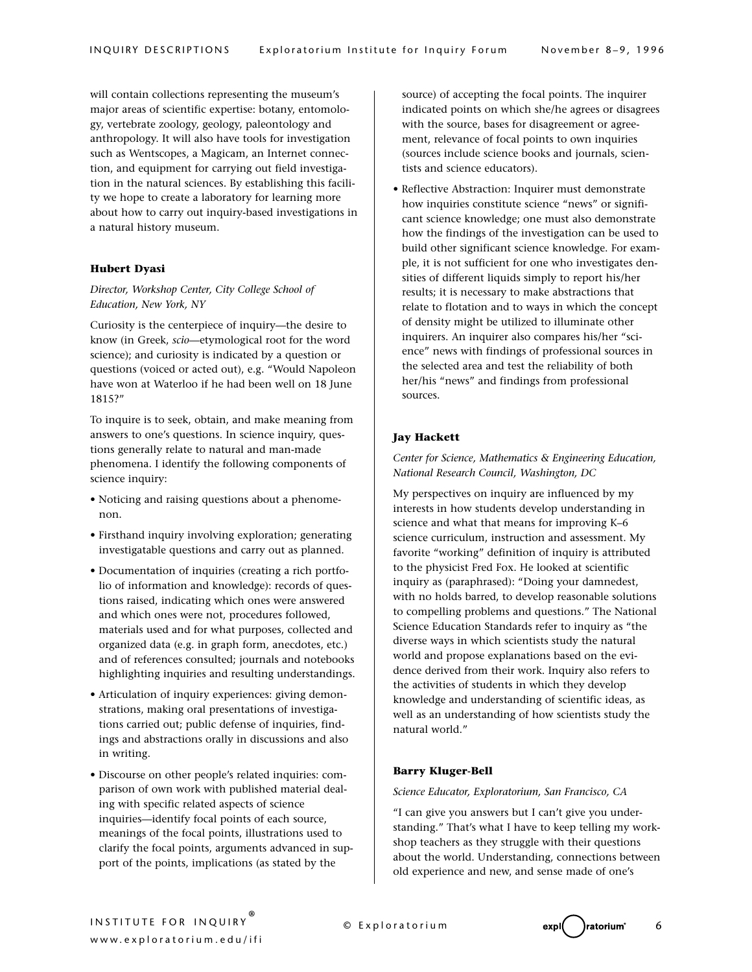will contain collections representing the museum's major areas of scientific expertise: botany, entomology, vertebrate zoology, geology, paleontology and anthropology. It will also have tools for investigation such as Wentscopes, a Magicam, an Internet connection, and equipment for carrying out field investigation in the natural sciences. By establishing this facility we hope to create a laboratory for learning more about how to carry out inquiry-based investigations in a natural history museum.

## **Hubert Dyasi**

# *Director, Workshop Center, City College School of Education, New York, NY*

Curiosity is the centerpiece of inquiry—the desire to know (in Greek, *scio*—etymological root for the word science); and curiosity is indicated by a question or questions (voiced or acted out), e.g. "Would Napoleon have won at Waterloo if he had been well on 18 June 1815?"

To inquire is to seek, obtain, and make meaning from answers to one's questions. In science inquiry, questions generally relate to natural and man-made phenomena. I identify the following components of science inquiry:

- Noticing and raising questions about a phenomenon.
- Firsthand inquiry involving exploration; generating investigatable questions and carry out as planned.
- Documentation of inquiries (creating a rich portfolio of information and knowledge): records of questions raised, indicating which ones were answered and which ones were not, procedures followed, materials used and for what purposes, collected and organized data (e.g. in graph form, anecdotes, etc.) and of references consulted; journals and notebooks highlighting inquiries and resulting understandings.
- Articulation of inquiry experiences: giving demonstrations, making oral presentations of investigations carried out; public defense of inquiries, findings and abstractions orally in discussions and also in writing.
- Discourse on other people's related inquiries: comparison of own work with published material dealing with specific related aspects of science inquiries—identify focal points of each source, meanings of the focal points, illustrations used to clarify the focal points, arguments advanced in support of the points, implications (as stated by the

source) of accepting the focal points. The inquirer indicated points on which she/he agrees or disagrees with the source, bases for disagreement or agreement, relevance of focal points to own inquiries (sources include science books and journals, scientists and science educators).

• Reflective Abstraction: Inquirer must demonstrate how inquiries constitute science "news" or significant science knowledge; one must also demonstrate how the findings of the investigation can be used to build other significant science knowledge. For example, it is not sufficient for one who investigates densities of different liquids simply to report his/her results; it is necessary to make abstractions that relate to flotation and to ways in which the concept of density might be utilized to illuminate other inquirers. An inquirer also compares his/her "science" news with findings of professional sources in the selected area and test the reliability of both her/his "news" and findings from professional sources.

## **Jay Hackett**

# *Center for Science, Mathematics & Engineering Education, National Research Council, Washington, DC*

My perspectives on inquiry are influenced by my interests in how students develop understanding in science and what that means for improving K–6 science curriculum, instruction and assessment. My favorite "working" definition of inquiry is attributed to the physicist Fred Fox. He looked at scientific inquiry as (paraphrased): "Doing your damnedest, with no holds barred, to develop reasonable solutions to compelling problems and questions." The National Science Education Standards refer to inquiry as "the diverse ways in which scientists study the natural world and propose explanations based on the evidence derived from their work. Inquiry also refers to the activities of students in which they develop knowledge and understanding of scientific ideas, as well as an understanding of how scientists study the natural world."

## **Barry Kluger-Bell**

#### *Science Educator, Exploratorium, San Francisco, CA*

"I can give you answers but I can't give you understanding." That's what I have to keep telling my workshop teachers as they struggle with their questions about the world. Understanding, connections between old experience and new, and sense made of one's

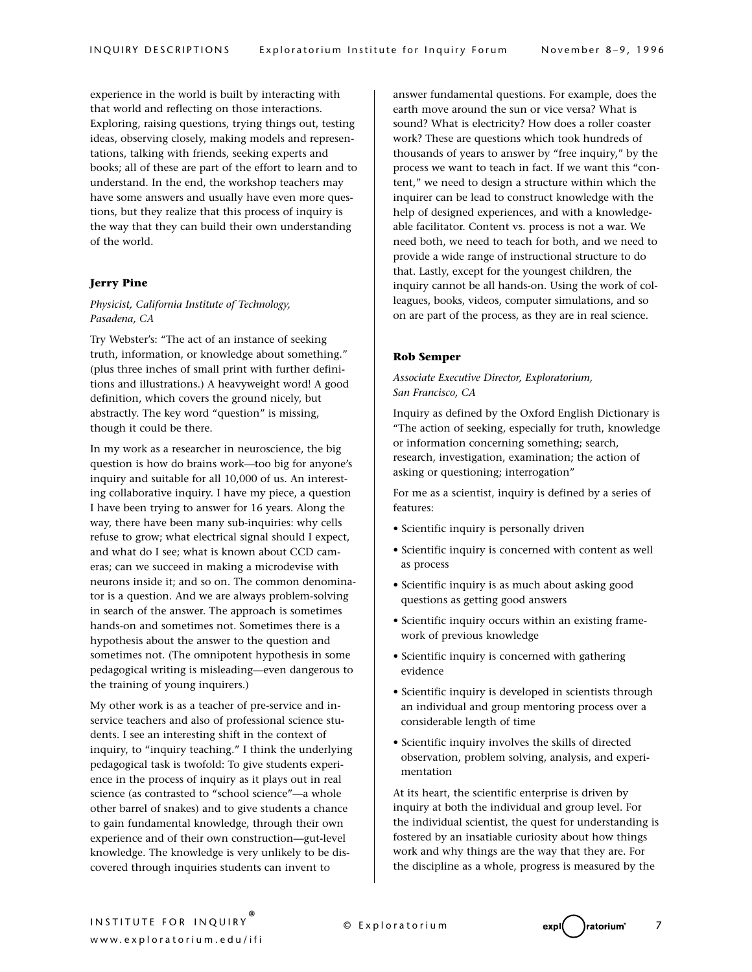experience in the world is built by interacting with that world and reflecting on those interactions. Exploring, raising questions, trying things out, testing ideas, observing closely, making models and representations, talking with friends, seeking experts and books; all of these are part of the effort to learn and to understand. In the end, the workshop teachers may have some answers and usually have even more questions, but they realize that this process of inquiry is the way that they can build their own understanding of the world.

## **Jerry Pine**

# *Physicist, California Institute of Technology, Pasadena, CA*

Try Webster's: "The act of an instance of seeking truth, information, or knowledge about something." (plus three inches of small print with further definitions and illustrations.) A heavyweight word! A good definition, which covers the ground nicely, but abstractly. The key word "question" is missing, though it could be there.

In my work as a researcher in neuroscience, the big question is how do brains work—too big for anyone's inquiry and suitable for all 10,000 of us. An interesting collaborative inquiry. I have my piece, a question I have been trying to answer for 16 years. Along the way, there have been many sub-inquiries: why cells refuse to grow; what electrical signal should I expect, and what do I see; what is known about CCD cameras; can we succeed in making a microdevise with neurons inside it; and so on. The common denominator is a question. And we are always problem-solving in search of the answer. The approach is sometimes hands-on and sometimes not. Sometimes there is a hypothesis about the answer to the question and sometimes not. (The omnipotent hypothesis in some pedagogical writing is misleading—even dangerous to the training of young inquirers.)

My other work is as a teacher of pre-service and inservice teachers and also of professional science students. I see an interesting shift in the context of inquiry, to "inquiry teaching." I think the underlying pedagogical task is twofold: To give students experience in the process of inquiry as it plays out in real science (as contrasted to "school science"—a whole other barrel of snakes) and to give students a chance to gain fundamental knowledge, through their own experience and of their own construction—gut-level knowledge. The knowledge is very unlikely to be discovered through inquiries students can invent to

answer fundamental questions. For example, does the earth move around the sun or vice versa? What is sound? What is electricity? How does a roller coaster work? These are questions which took hundreds of thousands of years to answer by "free inquiry," by the process we want to teach in fact. If we want this "content," we need to design a structure within which the inquirer can be lead to construct knowledge with the help of designed experiences, and with a knowledgeable facilitator. Content vs. process is not a war. We need both, we need to teach for both, and we need to provide a wide range of instructional structure to do that. Lastly, except for the youngest children, the inquiry cannot be all hands-on. Using the work of colleagues, books, videos, computer simulations, and so on are part of the process, as they are in real science.

#### **Rob Semper**

## *Associate Executive Director, Exploratorium, San Francisco, CA*

Inquiry as defined by the Oxford English Dictionary is "The action of seeking, especially for truth, knowledge or information concerning something; search, research, investigation, examination; the action of asking or questioning; interrogation"

For me as a scientist, inquiry is defined by a series of features:

- Scientific inquiry is personally driven
- Scientific inquiry is concerned with content as well as process
- Scientific inquiry is as much about asking good questions as getting good answers
- Scientific inquiry occurs within an existing framework of previous knowledge
- Scientific inquiry is concerned with gathering evidence
- Scientific inquiry is developed in scientists through an individual and group mentoring process over a considerable length of time
- Scientific inquiry involves the skills of directed observation, problem solving, analysis, and experimentation

At its heart, the scientific enterprise is driven by inquiry at both the individual and group level. For the individual scientist, the quest for understanding is fostered by an insatiable curiosity about how things work and why things are the way that they are. For the discipline as a whole, progress is measured by the

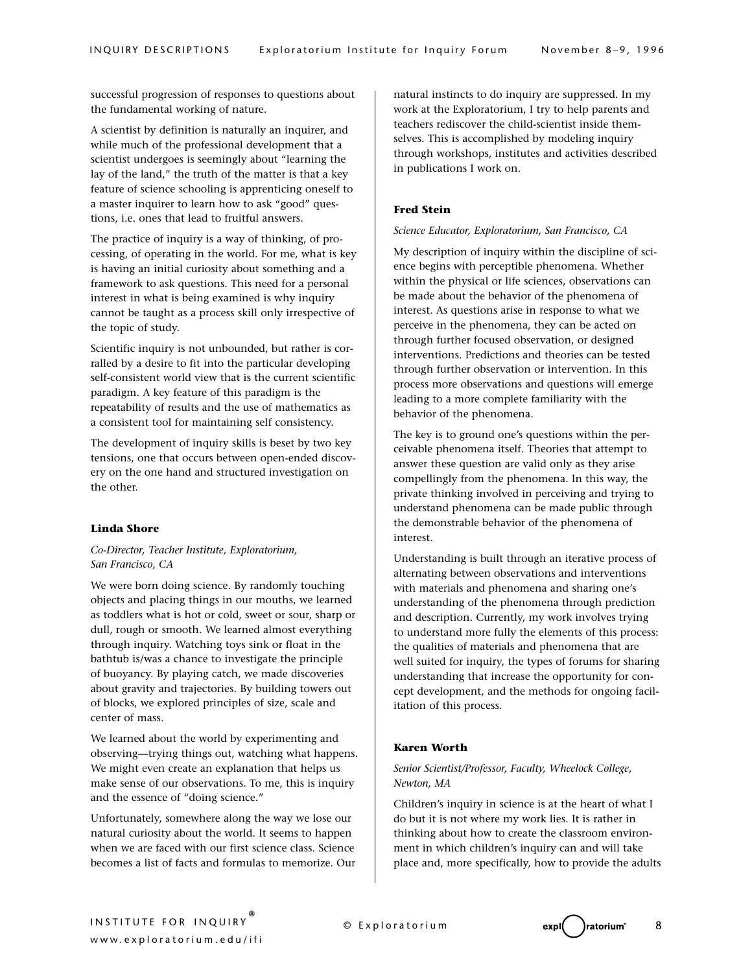successful progression of responses to questions about the fundamental working of nature.

A scientist by definition is naturally an inquirer, and while much of the professional development that a scientist undergoes is seemingly about "learning the lay of the land," the truth of the matter is that a key feature of science schooling is apprenticing oneself to a master inquirer to learn how to ask "good" questions, i.e. ones that lead to fruitful answers.

The practice of inquiry is a way of thinking, of processing, of operating in the world. For me, what is key is having an initial curiosity about something and a framework to ask questions. This need for a personal interest in what is being examined is why inquiry cannot be taught as a process skill only irrespective of the topic of study.

Scientific inquiry is not unbounded, but rather is corralled by a desire to fit into the particular developing self-consistent world view that is the current scientific paradigm. A key feature of this paradigm is the repeatability of results and the use of mathematics as a consistent tool for maintaining self consistency.

The development of inquiry skills is beset by two key tensions, one that occurs between open-ended discovery on the one hand and structured investigation on the other.

#### **Linda Shore**

## *Co-Director, Teacher Institute, Exploratorium, San Francisco, CA*

We were born doing science. By randomly touching objects and placing things in our mouths, we learned as toddlers what is hot or cold, sweet or sour, sharp or dull, rough or smooth. We learned almost everything through inquiry. Watching toys sink or float in the bathtub is/was a chance to investigate the principle of buoyancy. By playing catch, we made discoveries about gravity and trajectories. By building towers out of blocks, we explored principles of size, scale and center of mass.

We learned about the world by experimenting and observing—trying things out, watching what happens. We might even create an explanation that helps us make sense of our observations. To me, this is inquiry and the essence of "doing science."

Unfortunately, somewhere along the way we lose our natural curiosity about the world. It seems to happen when we are faced with our first science class. Science becomes a list of facts and formulas to memorize. Our natural instincts to do inquiry are suppressed. In my work at the Exploratorium, I try to help parents and teachers rediscover the child-scientist inside themselves. This is accomplished by modeling inquiry through workshops, institutes and activities described in publications I work on.

## **Fred Stein**

## *Science Educator, Exploratorium, San Francisco, CA*

My description of inquiry within the discipline of science begins with perceptible phenomena. Whether within the physical or life sciences, observations can be made about the behavior of the phenomena of interest. As questions arise in response to what we perceive in the phenomena, they can be acted on through further focused observation, or designed interventions. Predictions and theories can be tested through further observation or intervention. In this process more observations and questions will emerge leading to a more complete familiarity with the behavior of the phenomena.

The key is to ground one's questions within the perceivable phenomena itself. Theories that attempt to answer these question are valid only as they arise compellingly from the phenomena. In this way, the private thinking involved in perceiving and trying to understand phenomena can be made public through the demonstrable behavior of the phenomena of interest.

Understanding is built through an iterative process of alternating between observations and interventions with materials and phenomena and sharing one's understanding of the phenomena through prediction and description. Currently, my work involves trying to understand more fully the elements of this process: the qualities of materials and phenomena that are well suited for inquiry, the types of forums for sharing understanding that increase the opportunity for concept development, and the methods for ongoing facilitation of this process.

## **Karen Worth**

## *Senior Scientist/Professor, Faculty, Wheelock College, Newton, MA*

Children's inquiry in science is at the heart of what I do but it is not where my work lies. It is rather in thinking about how to create the classroom environment in which children's inquiry can and will take place and, more specifically, how to provide the adults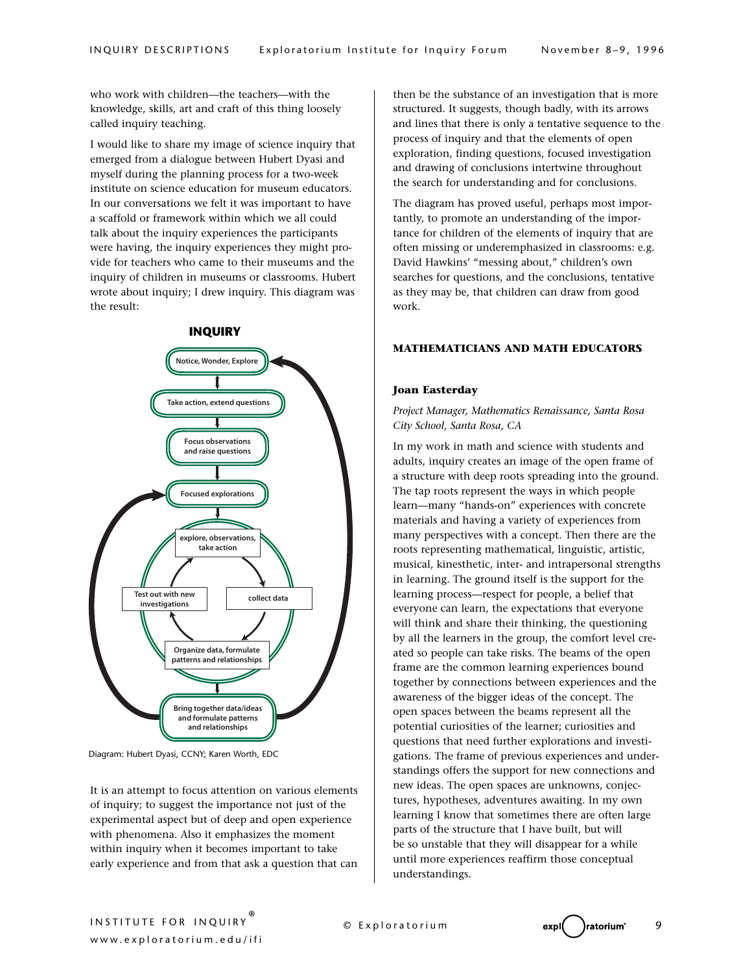who work with children—the teachers—with the knowledge, skills, art and craft of this thing loosely called inquiry teaching.

I would like to share my image of science inquiry that emerged from a dialogue between Hubert Dyasi and myself during the planning process for a two-week institute on science education for museum educators. In our conversations we felt it was important to have a scaffold or framework within which we all could talk about the inquiry experiences the participants were having, the inquiry experiences they might provide for teachers who came to their museums and the inquiry of children in museums or classrooms. Hubert wrote about inquiry; I drew inquiry. This diagram was the result:



Diagram: Hubert Dyasi, CCNY; Karen Worth, EDC

It is an attempt to focus attention on various elements of inquiry; to suggest the importance not just of the experimental aspect but of deep and open experience with phenomena. Also it emphasizes the moment within inquiry when it becomes important to take early experience and from that ask a question that can

then be the substance of an investigation that is more structured. It suggests, though badly, with its arrows and lines that there is only a tentative sequence to the process of inquiry and that the elements of open exploration, finding questions, focused investigation and drawing of conclusions intertwine throughout the search for understanding and for conclusions.

The diagram has proved useful, perhaps most importantly, to promote an understanding of the importance for children of the elements of inquiry that are often missing or underemphasized in classrooms: e.g. David Hawkins' "messing about," children's own searches for questions, and the conclusions, tentative as they may be, that children can draw from good work.

## **MATHEMATICIANS AND MATH EDUCATORS**

## **Joan Easterday**

*Project Manager, Mathematics Renaissance, Santa Rosa City School, Santa Rosa, CA*

In my work in math and science with students and adults, inquiry creates an image of the open frame of a structure with deep roots spreading into the ground. The tap roots represent the ways in which people learn—many "hands-on" experiences with concrete materials and having a variety of experiences from many perspectives with a concept. Then there are the roots representing mathematical, linguistic, artistic, musical, kinesthetic, inter- and intrapersonal strengths in learning. The ground itself is the support for the learning process—respect for people, a belief that everyone can learn, the expectations that everyone will think and share their thinking, the questioning by all the learners in the group, the comfort level created so people can take risks. The beams of the open frame are the common learning experiences bound together by connections between experiences and the awareness of the bigger ideas of the concept. The open spaces between the beams represent all the potential curiosities of the learner; curiosities and questions that need further explorations and investigations. The frame of previous experiences and understandings offers the support for new connections and new ideas. The open spaces are unknowns, conjectures, hypotheses, adventures awaiting. In my own learning I know that sometimes there are often large parts of the structure that I have built, but will be so unstable that they will disappear for a while until more experiences reaffirm those conceptual understandings.

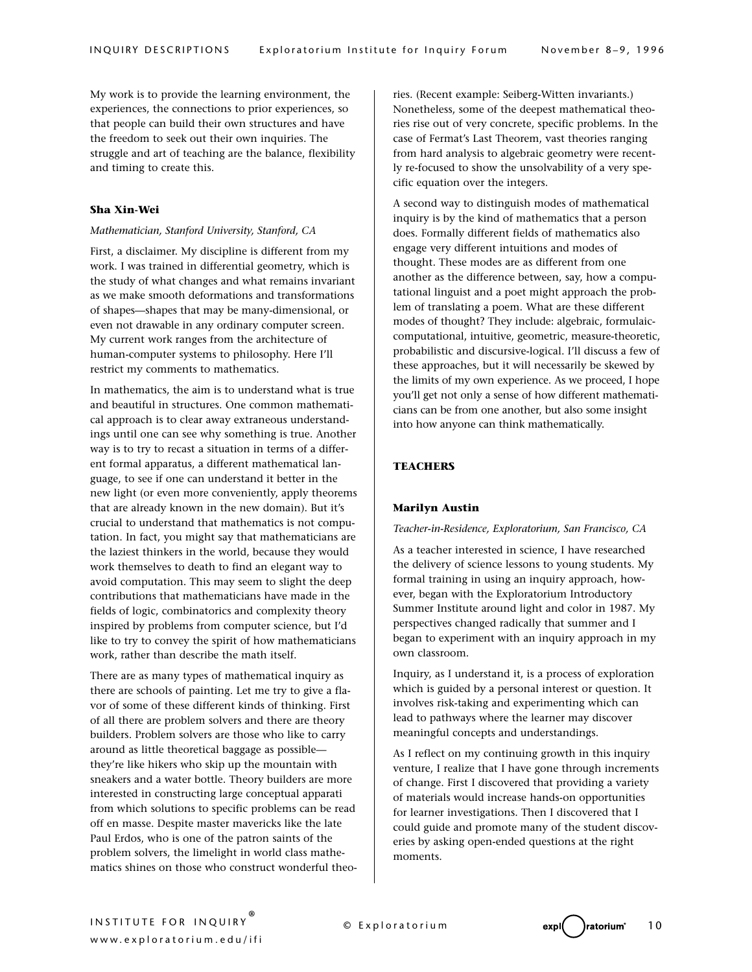My work is to provide the learning environment, the experiences, the connections to prior experiences, so that people can build their own structures and have the freedom to seek out their own inquiries. The struggle and art of teaching are the balance, flexibility and timing to create this.

## **Sha Xin-Wei**

#### *Mathematician, Stanford University, Stanford, CA*

First, a disclaimer. My discipline is different from my work. I was trained in differential geometry, which is the study of what changes and what remains invariant as we make smooth deformations and transformations of shapes—shapes that may be many-dimensional, or even not drawable in any ordinary computer screen. My current work ranges from the architecture of human-computer systems to philosophy. Here I'll restrict my comments to mathematics.

In mathematics, the aim is to understand what is true and beautiful in structures. One common mathematical approach is to clear away extraneous understandings until one can see why something is true. Another way is to try to recast a situation in terms of a different formal apparatus, a different mathematical language, to see if one can understand it better in the new light (or even more conveniently, apply theorems that are already known in the new domain). But it's crucial to understand that mathematics is not computation. In fact, you might say that mathematicians are the laziest thinkers in the world, because they would work themselves to death to find an elegant way to avoid computation. This may seem to slight the deep contributions that mathematicians have made in the fields of logic, combinatorics and complexity theory inspired by problems from computer science, but I'd like to try to convey the spirit of how mathematicians work, rather than describe the math itself.

There are as many types of mathematical inquiry as there are schools of painting. Let me try to give a flavor of some of these different kinds of thinking. First of all there are problem solvers and there are theory builders. Problem solvers are those who like to carry around as little theoretical baggage as possible they're like hikers who skip up the mountain with sneakers and a water bottle. Theory builders are more interested in constructing large conceptual apparati from which solutions to specific problems can be read off en masse. Despite master mavericks like the late Paul Erdos, who is one of the patron saints of the problem solvers, the limelight in world class mathematics shines on those who construct wonderful theo-

ries. (Recent example: Seiberg-Witten invariants.) Nonetheless, some of the deepest mathematical theories rise out of very concrete, specific problems. In the case of Fermat's Last Theorem, vast theories ranging from hard analysis to algebraic geometry were recently re-focused to show the unsolvability of a very specific equation over the integers.

A second way to distinguish modes of mathematical inquiry is by the kind of mathematics that a person does. Formally different fields of mathematics also engage very different intuitions and modes of thought. These modes are as different from one another as the difference between, say, how a computational linguist and a poet might approach the problem of translating a poem. What are these different modes of thought? They include: algebraic, formulaiccomputational, intuitive, geometric, measure-theoretic, probabilistic and discursive-logical. I'll discuss a few of these approaches, but it will necessarily be skewed by the limits of my own experience. As we proceed, I hope you'll get not only a sense of how different mathematicians can be from one another, but also some insight into how anyone can think mathematically.

## **TEACHERS**

#### **Marilyn Austin**

#### *Teacher-in-Residence, Exploratorium, San Francisco, CA*

As a teacher interested in science, I have researched the delivery of science lessons to young students. My formal training in using an inquiry approach, however, began with the Exploratorium Introductory Summer Institute around light and color in 1987. My perspectives changed radically that summer and I began to experiment with an inquiry approach in my own classroom.

Inquiry, as I understand it, is a process of exploration which is guided by a personal interest or question. It involves risk-taking and experimenting which can lead to pathways where the learner may discover meaningful concepts and understandings.

As I reflect on my continuing growth in this inquiry venture, I realize that I have gone through increments of change. First I discovered that providing a variety of materials would increase hands-on opportunities for learner investigations. Then I discovered that I could guide and promote many of the student discoveries by asking open-ended questions at the right moments.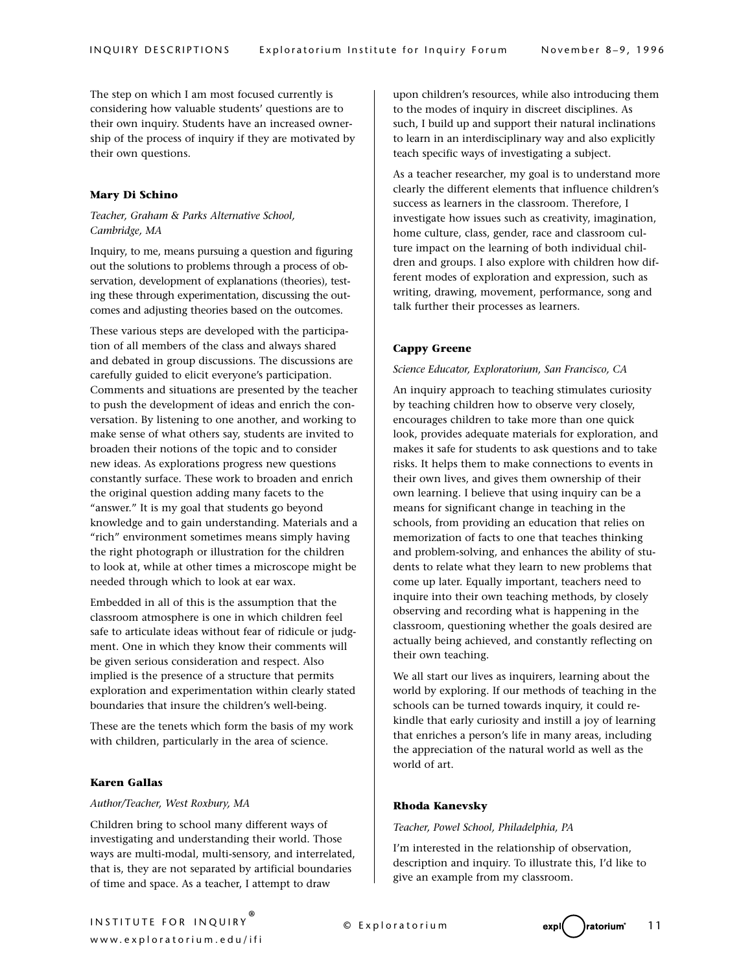The step on which I am most focused currently is considering how valuable students' questions are to their own inquiry. Students have an increased ownership of the process of inquiry if they are motivated by their own questions.

## **Mary Di Schino**

## *Teacher, Graham & Parks Alternative School, Cambridge, MA*

Inquiry, to me, means pursuing a question and figuring out the solutions to problems through a process of observation, development of explanations (theories), testing these through experimentation, discussing the outcomes and adjusting theories based on the outcomes.

These various steps are developed with the participation of all members of the class and always shared and debated in group discussions. The discussions are carefully guided to elicit everyone's participation. Comments and situations are presented by the teacher to push the development of ideas and enrich the conversation. By listening to one another, and working to make sense of what others say, students are invited to broaden their notions of the topic and to consider new ideas. As explorations progress new questions constantly surface. These work to broaden and enrich the original question adding many facets to the "answer." It is my goal that students go beyond knowledge and to gain understanding. Materials and a "rich" environment sometimes means simply having the right photograph or illustration for the children to look at, while at other times a microscope might be needed through which to look at ear wax.

Embedded in all of this is the assumption that the classroom atmosphere is one in which children feel safe to articulate ideas without fear of ridicule or judgment. One in which they know their comments will be given serious consideration and respect. Also implied is the presence of a structure that permits exploration and experimentation within clearly stated boundaries that insure the children's well-being.

These are the tenets which form the basis of my work with children, particularly in the area of science.

## **Karen Gallas**

#### *Author/Teacher, West Roxbury, MA*

Children bring to school many different ways of investigating and understanding their world. Those ways are multi-modal, multi-sensory, and interrelated, that is, they are not separated by artificial boundaries of time and space. As a teacher, I attempt to draw

upon children's resources, while also introducing them to the modes of inquiry in discreet disciplines. As such, I build up and support their natural inclinations to learn in an interdisciplinary way and also explicitly teach specific ways of investigating a subject.

As a teacher researcher, my goal is to understand more clearly the different elements that influence children's success as learners in the classroom. Therefore, I investigate how issues such as creativity, imagination, home culture, class, gender, race and classroom culture impact on the learning of both individual children and groups. I also explore with children how different modes of exploration and expression, such as writing, drawing, movement, performance, song and talk further their processes as learners.

#### **Cappy Greene**

#### *Science Educator, Exploratorium, San Francisco, CA*

An inquiry approach to teaching stimulates curiosity by teaching children how to observe very closely, encourages children to take more than one quick look, provides adequate materials for exploration, and makes it safe for students to ask questions and to take risks. It helps them to make connections to events in their own lives, and gives them ownership of their own learning. I believe that using inquiry can be a means for significant change in teaching in the schools, from providing an education that relies on memorization of facts to one that teaches thinking and problem-solving, and enhances the ability of students to relate what they learn to new problems that come up later. Equally important, teachers need to inquire into their own teaching methods, by closely observing and recording what is happening in the classroom, questioning whether the goals desired are actually being achieved, and constantly reflecting on their own teaching.

We all start our lives as inquirers, learning about the world by exploring. If our methods of teaching in the schools can be turned towards inquiry, it could rekindle that early curiosity and instill a joy of learning that enriches a person's life in many areas, including the appreciation of the natural world as well as the world of art.

## **Rhoda Kanevsky**

#### *Teacher, Powel School, Philadelphia, PA*

I'm interested in the relationship of observation, description and inquiry. To illustrate this, I'd like to give an example from my classroom.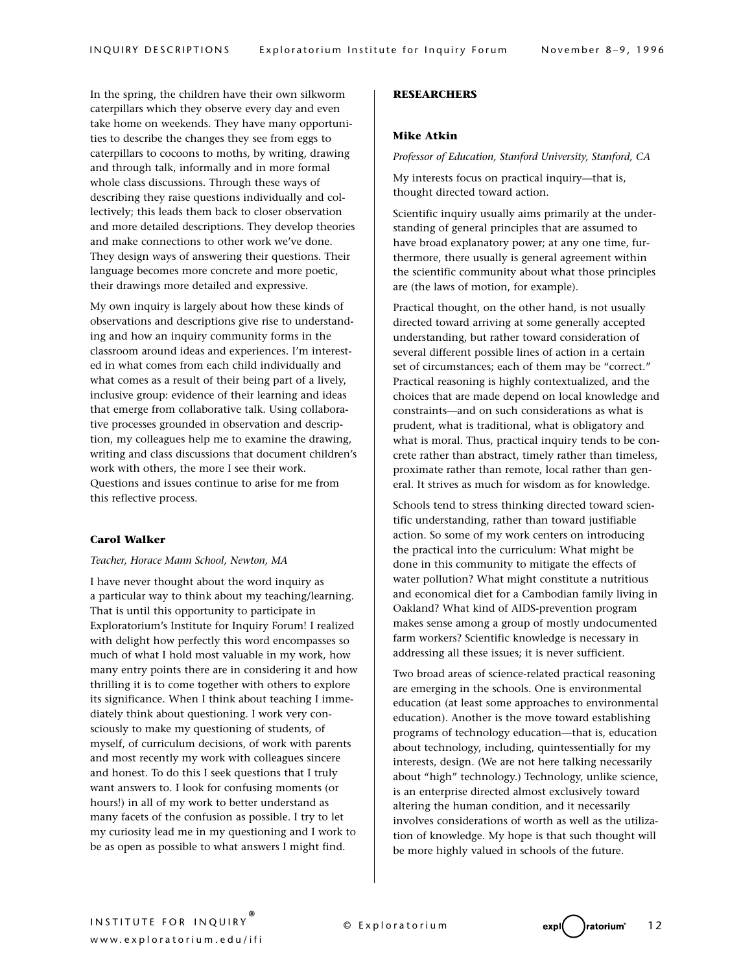In the spring, the children have their own silkworm caterpillars which they observe every day and even take home on weekends. They have many opportunities to describe the changes they see from eggs to caterpillars to cocoons to moths, by writing, drawing and through talk, informally and in more formal whole class discussions. Through these ways of describing they raise questions individually and collectively; this leads them back to closer observation and more detailed descriptions. They develop theories and make connections to other work we've done. They design ways of answering their questions. Their language becomes more concrete and more poetic, their drawings more detailed and expressive.

My own inquiry is largely about how these kinds of observations and descriptions give rise to understanding and how an inquiry community forms in the classroom around ideas and experiences. I'm interested in what comes from each child individually and what comes as a result of their being part of a lively, inclusive group: evidence of their learning and ideas that emerge from collaborative talk. Using collaborative processes grounded in observation and description, my colleagues help me to examine the drawing, writing and class discussions that document children's work with others, the more I see their work. Questions and issues continue to arise for me from this reflective process.

#### **Carol Walker**

#### *Teacher, Horace Mann School, Newton, MA*

I have never thought about the word inquiry as a particular way to think about my teaching/learning. That is until this opportunity to participate in Exploratorium's Institute for Inquiry Forum! I realized with delight how perfectly this word encompasses so much of what I hold most valuable in my work, how many entry points there are in considering it and how thrilling it is to come together with others to explore its significance. When I think about teaching I immediately think about questioning. I work very consciously to make my questioning of students, of myself, of curriculum decisions, of work with parents and most recently my work with colleagues sincere and honest. To do this I seek questions that I truly want answers to. I look for confusing moments (or hours!) in all of my work to better understand as many facets of the confusion as possible. I try to let my curiosity lead me in my questioning and I work to be as open as possible to what answers I might find.

#### **RESEARCHERS**

## **Mike Atkin**

*Professor of Education, Stanford University, Stanford, CA*

My interests focus on practical inquiry—that is, thought directed toward action.

Scientific inquiry usually aims primarily at the understanding of general principles that are assumed to have broad explanatory power; at any one time, furthermore, there usually is general agreement within the scientific community about what those principles are (the laws of motion, for example).

Practical thought, on the other hand, is not usually directed toward arriving at some generally accepted understanding, but rather toward consideration of several different possible lines of action in a certain set of circumstances; each of them may be "correct." Practical reasoning is highly contextualized, and the choices that are made depend on local knowledge and constraints—and on such considerations as what is prudent, what is traditional, what is obligatory and what is moral. Thus, practical inquiry tends to be concrete rather than abstract, timely rather than timeless, proximate rather than remote, local rather than general. It strives as much for wisdom as for knowledge.

Schools tend to stress thinking directed toward scientific understanding, rather than toward justifiable action. So some of my work centers on introducing the practical into the curriculum: What might be done in this community to mitigate the effects of water pollution? What might constitute a nutritious and economical diet for a Cambodian family living in Oakland? What kind of AIDS-prevention program makes sense among a group of mostly undocumented farm workers? Scientific knowledge is necessary in addressing all these issues; it is never sufficient.

Two broad areas of science-related practical reasoning are emerging in the schools. One is environmental education (at least some approaches to environmental education). Another is the move toward establishing programs of technology education—that is, education about technology, including, quintessentially for my interests, design. (We are not here talking necessarily about "high" technology.) Technology, unlike science, is an enterprise directed almost exclusively toward altering the human condition, and it necessarily involves considerations of worth as well as the utilization of knowledge. My hope is that such thought will be more highly valued in schools of the future.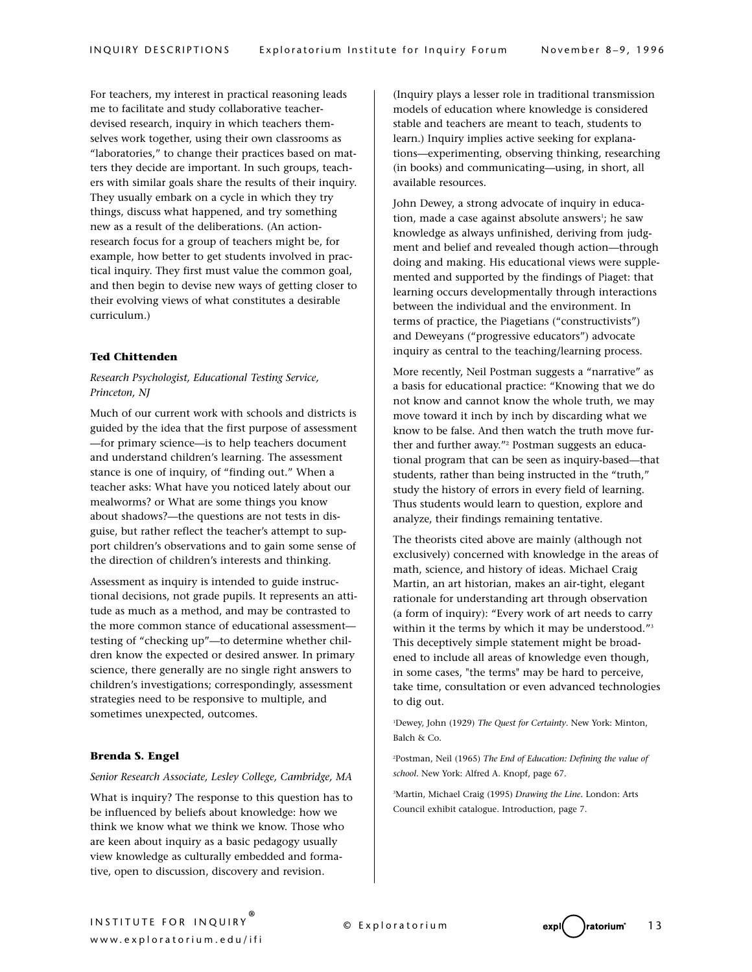For teachers, my interest in practical reasoning leads me to facilitate and study collaborative teacherdevised research, inquiry in which teachers themselves work together, using their own classrooms as "laboratories," to change their practices based on matters they decide are important. In such groups, teachers with similar goals share the results of their inquiry. They usually embark on a cycle in which they try things, discuss what happened, and try something new as a result of the deliberations. (An actionresearch focus for a group of teachers might be, for example, how better to get students involved in practical inquiry. They first must value the common goal, and then begin to devise new ways of getting closer to their evolving views of what constitutes a desirable curriculum.)

#### **Ted Chittenden**

## *Research Psychologist, Educational Testing Service, Princeton, NJ*

Much of our current work with schools and districts is guided by the idea that the first purpose of assessment —for primary science—is to help teachers document and understand children's learning. The assessment stance is one of inquiry, of "finding out." When a teacher asks: What have you noticed lately about our mealworms? or What are some things you know about shadows?—the questions are not tests in disguise, but rather reflect the teacher's attempt to support children's observations and to gain some sense of the direction of children's interests and thinking.

Assessment as inquiry is intended to guide instructional decisions, not grade pupils. It represents an attitude as much as a method, and may be contrasted to the more common stance of educational assessment testing of "checking up"—to determine whether children know the expected or desired answer. In primary science, there generally are no single right answers to children's investigations; correspondingly, assessment strategies need to be responsive to multiple, and sometimes unexpected, outcomes.

## **Brenda S. Engel**

#### *Senior Research Associate, Lesley College, Cambridge, MA*

What is inquiry? The response to this question has to be influenced by beliefs about knowledge: how we think we know what we think we know. Those who are keen about inquiry as a basic pedagogy usually view knowledge as culturally embedded and formative, open to discussion, discovery and revision.

(Inquiry plays a lesser role in traditional transmission models of education where knowledge is considered stable and teachers are meant to teach, students to learn.) Inquiry implies active seeking for explanations—experimenting, observing thinking, researching (in books) and communicating—using, in short, all available resources.

John Dewey, a strong advocate of inquiry in education, made a case against absolute answers<sup>1</sup>; he saw knowledge as always unfinished, deriving from judgment and belief and revealed though action—through doing and making. His educational views were supplemented and supported by the findings of Piaget: that learning occurs developmentally through interactions between the individual and the environment. In terms of practice, the Piagetians ("constructivists") and Deweyans ("progressive educators") advocate inquiry as central to the teaching/learning process.

More recently, Neil Postman suggests a "narrative" as a basis for educational practice: "Knowing that we do not know and cannot know the whole truth, we may move toward it inch by inch by discarding what we know to be false. And then watch the truth move further and further away."<sup>2</sup> Postman suggests an educational program that can be seen as inquiry-based—that students, rather than being instructed in the "truth," study the history of errors in every field of learning. Thus students would learn to question, explore and analyze, their findings remaining tentative.

The theorists cited above are mainly (although not exclusively) concerned with knowledge in the areas of math, science, and history of ideas. Michael Craig Martin, an art historian, makes an air-tight, elegant rationale for understanding art through observation (a form of inquiry): "Every work of art needs to carry within it the terms by which it may be understood."<sup>3</sup> This deceptively simple statement might be broadened to include all areas of knowledge even though, in some cases, "the terms" may be hard to perceive, take time, consultation or even advanced technologies to dig out.

1 Dewey, John (1929) *The Quest for Certainty*. New York: Minton, Balch & Co.

2 Postman, Neil (1965) *The End of Education: Defining the value of school.* New York: Alfred A. Knopf, page 67.

3 Martin, Michael Craig (1995) *Drawing the Line.* London: Arts Council exhibit catalogue. Introduction, page 7.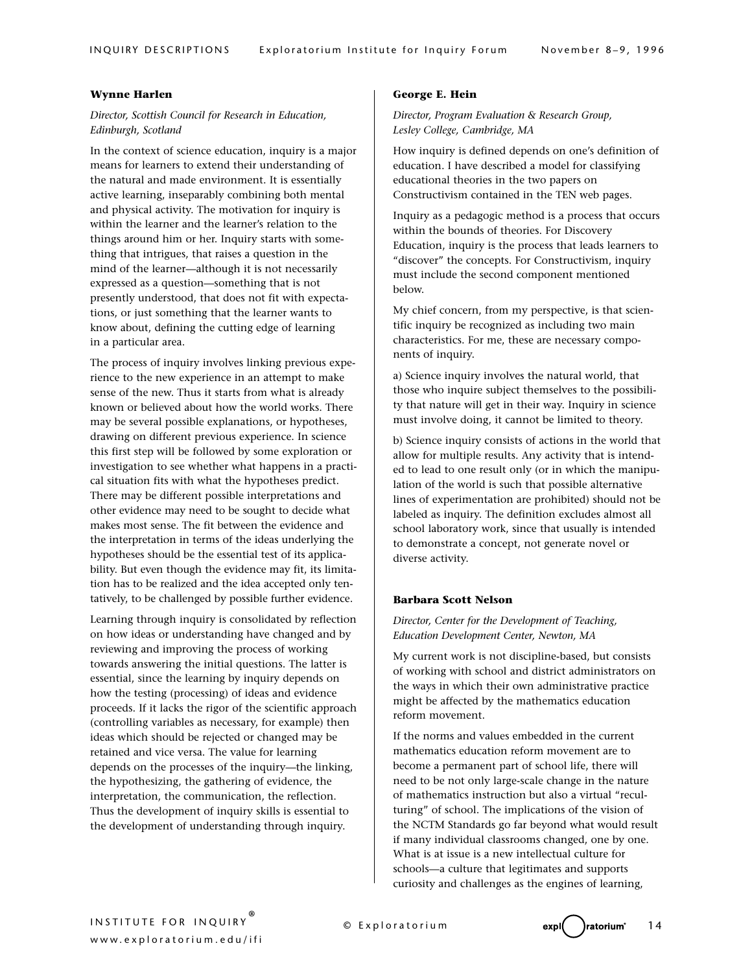## **Wynne Harlen**

## *Director, Scottish Council for Research in Education, Edinburgh, Scotland*

In the context of science education, inquiry is a major means for learners to extend their understanding of the natural and made environment. It is essentially active learning, inseparably combining both mental and physical activity. The motivation for inquiry is within the learner and the learner's relation to the things around him or her. Inquiry starts with something that intrigues, that raises a question in the mind of the learner—although it is not necessarily expressed as a question—something that is not presently understood, that does not fit with expectations, or just something that the learner wants to know about, defining the cutting edge of learning in a particular area.

The process of inquiry involves linking previous experience to the new experience in an attempt to make sense of the new. Thus it starts from what is already known or believed about how the world works. There may be several possible explanations, or hypotheses, drawing on different previous experience. In science this first step will be followed by some exploration or investigation to see whether what happens in a practical situation fits with what the hypotheses predict. There may be different possible interpretations and other evidence may need to be sought to decide what makes most sense. The fit between the evidence and the interpretation in terms of the ideas underlying the hypotheses should be the essential test of its applicability. But even though the evidence may fit, its limitation has to be realized and the idea accepted only tentatively, to be challenged by possible further evidence.

Learning through inquiry is consolidated by reflection on how ideas or understanding have changed and by reviewing and improving the process of working towards answering the initial questions. The latter is essential, since the learning by inquiry depends on how the testing (processing) of ideas and evidence proceeds. If it lacks the rigor of the scientific approach (controlling variables as necessary, for example) then ideas which should be rejected or changed may be retained and vice versa. The value for learning depends on the processes of the inquiry—the linking, the hypothesizing, the gathering of evidence, the interpretation, the communication, the reflection. Thus the development of inquiry skills is essential to the development of understanding through inquiry.

#### **George E. Hein**

*Director, Program Evaluation & Research Group, Lesley College, Cambridge, MA*

How inquiry is defined depends on one's definition of education. I have described a model for classifying educational theories in the two papers on Constructivism contained in the TEN web pages.

Inquiry as a pedagogic method is a process that occurs within the bounds of theories. For Discovery Education, inquiry is the process that leads learners to "discover" the concepts. For Constructivism, inquiry must include the second component mentioned below.

My chief concern, from my perspective, is that scientific inquiry be recognized as including two main characteristics. For me, these are necessary components of inquiry.

a) Science inquiry involves the natural world, that those who inquire subject themselves to the possibility that nature will get in their way. Inquiry in science must involve doing, it cannot be limited to theory.

b) Science inquiry consists of actions in the world that allow for multiple results. Any activity that is intended to lead to one result only (or in which the manipulation of the world is such that possible alternative lines of experimentation are prohibited) should not be labeled as inquiry. The definition excludes almost all school laboratory work, since that usually is intended to demonstrate a concept, not generate novel or diverse activity.

#### **Barbara Scott Nelson**

## *Director, Center for the Development of Teaching, Education Development Center, Newton, MA*

My current work is not discipline-based, but consists of working with school and district administrators on the ways in which their own administrative practice might be affected by the mathematics education reform movement.

If the norms and values embedded in the current mathematics education reform movement are to become a permanent part of school life, there will need to be not only large-scale change in the nature of mathematics instruction but also a virtual "reculturing" of school. The implications of the vision of the NCTM Standards go far beyond what would result if many individual classrooms changed, one by one. What is at issue is a new intellectual culture for schools—a culture that legitimates and supports curiosity and challenges as the engines of learning,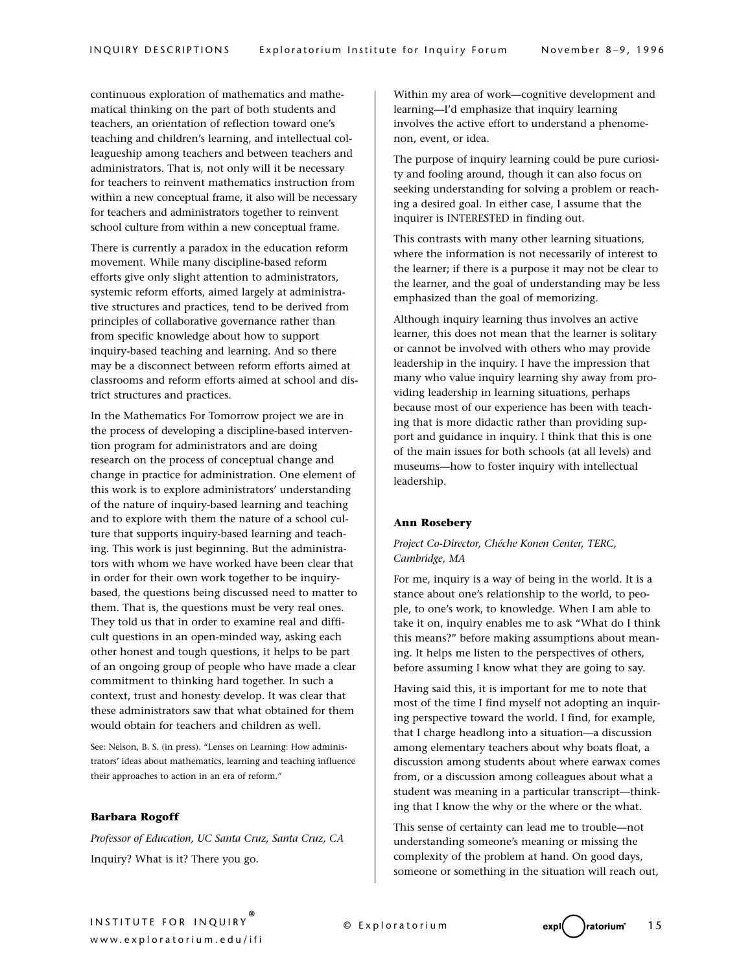continuous exploration of mathematics and mathematical thinking on the part of both students and teachers, an orientation of reflection toward one's teaching and children's learning, and intellectual colleagueship among teachers and between teachers and administrators. That is, not only will it be necessary for teachers to reinvent mathematics instruction from within a new conceptual frame, it also will be necessary for teachers and administrators together to reinvent school culture from within a new conceptual frame.

There is currently a paradox in the education reform movement. While many discipline-based reform efforts give only slight attention to administrators, systemic reform efforts, aimed largely at administrative structures and practices, tend to be derived from principles of collaborative governance rather than from specific knowledge about how to support inquiry-based teaching and learning. And so there may be a disconnect between reform efforts aimed at classrooms and reform efforts aimed at school and district structures and practices.

In the Mathematics For Tomorrow project we are in the process of developing a discipline-based intervention program for administrators and are doing research on the process of conceptual change and change in practice for administration. One element of this work is to explore administrators' understanding of the nature of inquiry-based learning and teaching and to explore with them the nature of a school culture that supports inquiry-based learning and teaching. This work is just beginning. But the administrators with whom we have worked have been clear that in order for their own work together to be inquirybased, the questions being discussed need to matter to them. That is, the questions must be very real ones. They told us that in order to examine real and difficult questions in an open-minded way, asking each other honest and tough questions, it helps to be part of an ongoing group of people who have made a clear commitment to thinking hard together. In such a context, trust and honesty develop. It was clear that these administrators saw that what obtained for them would obtain for teachers and children as well.

See: Nelson, B. S. (in press). "Lenses on Learning: How administrators' ideas about mathematics, learning and teaching influence their approaches to action in an era of reform."

## **Barbara Rogoff**

*Professor of Education, UC Santa Cruz, Santa Cruz, CA* Inquiry? What is it? There you go.

Within my area of work—cognitive development and learning—I'd emphasize that inquiry learning involves the active effort to understand a phenomenon, event, or idea.

The purpose of inquiry learning could be pure curiosity and fooling around, though it can also focus on seeking understanding for solving a problem or reaching a desired goal. In either case, I assume that the inquirer is INTERESTED in finding out.

This contrasts with many other learning situations, where the information is not necessarily of interest to the learner; if there is a purpose it may not be clear to the learner, and the goal of understanding may be less emphasized than the goal of memorizing.

Although inquiry learning thus involves an active learner, this does not mean that the learner is solitary or cannot be involved with others who may provide leadership in the inquiry. I have the impression that many who value inquiry learning shy away from providing leadership in learning situations, perhaps because most of our experience has been with teaching that is more didactic rather than providing support and guidance in inquiry. I think that this is one of the main issues for both schools (at all levels) and museums—how to foster inquiry with intellectual leadership.

#### **Ann Rosebery**

## *Project Co-Director, Chéche Konen Center, TERC, Cambridge, MA*

For me, inquiry is a way of being in the world. It is a stance about one's relationship to the world, to people, to one's work, to knowledge. When I am able to take it on, inquiry enables me to ask "What do I think this means?" before making assumptions about meaning. It helps me listen to the perspectives of others, before assuming I know what they are going to say.

Having said this, it is important for me to note that most of the time I find myself not adopting an inquiring perspective toward the world. I find, for example, that I charge headlong into a situation—a discussion among elementary teachers about why boats float, a discussion among students about where earwax comes from, or a discussion among colleagues about what a student was meaning in a particular transcript—thinking that I know the why or the where or the what.

This sense of certainty can lead me to trouble—not understanding someone's meaning or missing the complexity of the problem at hand. On good days, someone or something in the situation will reach out,